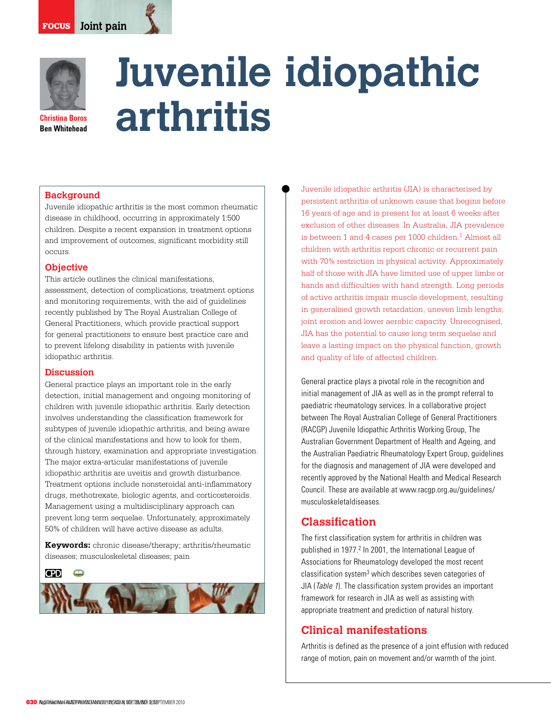

**Ben Whitehead**

# **Juvenile idiopathic arthritis**

#### **Background**

Juvenile idiopathic arthritis is the most common rheumatic disease in childhood, occurring in approximately 1:500 children. Despite a recent expansion in treatment options and improvement of outcomes, significant morbidity still occurs.

#### **Objective**

This article outlines the clinical manifestations, assessment, detection of complications, treatment options and monitoring requirements, with the aid of guidelines recently published by The Royal Australian College of General Practitioners, which provide practical support for general practitioners to ensure best practice care and to prevent lifelong disability in patients with juvenile idiopathic arthritis.

#### **Discussion**

General practice plays an important role in the early detection, initial management and ongoing monitoring of children with juvenile idiopathic arthritis. Early detection involves understanding the classification framework for subtypes of juvenile idiopathic arthritis, and being aware of the clinical manifestations and how to look for them, through history, examination and appropriate investigation. The major extra-articular manifestations of juvenile idiopathic arthritis are uveitis and growth disturbance. Treatment options include nonsteroidal anti-inflammatory drugs, methotrexate, biologic agents, and corticosteroids. Management using a multidisciplinary approach can prevent long term sequelae. Unfortunately, approximately 50% of children will have active disease as adults.

**Keywords:** chronic disease/therapy; arthritis/rheumatic diseases; musculoskeletal diseases; pain

**CPD** 



Juvenile idiopathic arthritis (JIA) is characterised by persistent arthritis of unknown cause that begins before 16 years of age and is present for at least 6 weeks after exclusion of other diseases. In Australia, JIA prevalence is between 1 and 4 cases per 1000 children.<sup>1</sup> Almost all children with arthritis report chronic or recurrent pain with 70% restriction in physical activity. Approximately half of those with JIA have limited use of upper limbs or hands and difficulties with hand strength. Long periods of active arthritis impair muscle development, resulting in generalised growth retardation, uneven limb lengths, joint erosion and lower aerobic capacity. Unrecognised, JIA has the potential to cause long term sequelae and leave a lasting impact on the physical function, growth and quality of life of affected children.

General practice plays a pivotal role in the recognition and initial management of JIA as well as in the prompt referral to paediatric rheumatology services. In a collaborative project between The Royal Australian College of General Practitioners (RACGP) Juvenile Idiopathic Arthritis Working Group, The Australian Government Department of Health and Ageing, and the Australian Paediatric Rheumatology Expert Group, guidelines for the diagnosis and management of JIA were developed and recently approved by the National Health and Medical Research Council. These are available at www.racgp.org.au/guidelines/ musculoskeletaldiseases.

# **Classification**

The first classification system for arthritis in children was published in 1977.<sup>2</sup> In 2001, the International League of Associations for Rheumatology developed the most recent classification system<sup>3</sup> which describes seven categories of JIA (Table 1). The classification system provides an important framework for research in JIA as well as assisting with appropriate treatment and prediction of natural history.

# **Clinical manifestations**

Arthritis is defined as the presence of a joint effusion with reduced range of motion, pain on movement and/or warmth of the joint.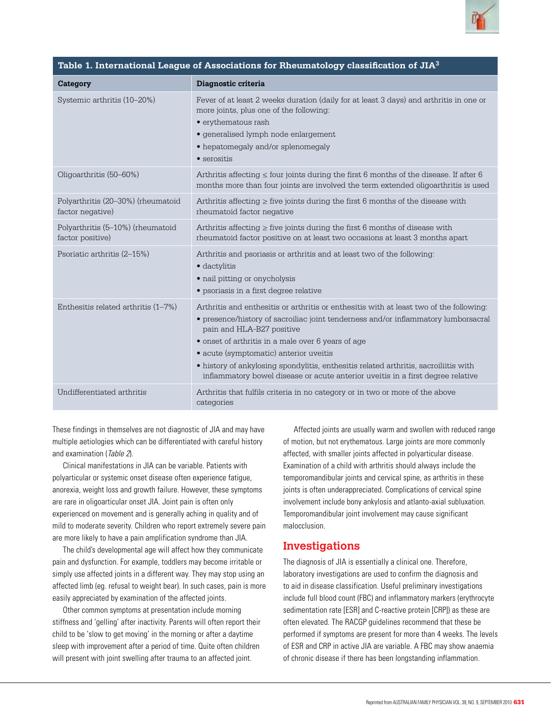

| Table 1. International League of Associations for Rheumatology classification of JIA $^3$ |                                                                                                                                                                                                                                                                                                                                                                                                                                                                                       |  |  |
|-------------------------------------------------------------------------------------------|---------------------------------------------------------------------------------------------------------------------------------------------------------------------------------------------------------------------------------------------------------------------------------------------------------------------------------------------------------------------------------------------------------------------------------------------------------------------------------------|--|--|
| Category                                                                                  | Diagnostic criteria                                                                                                                                                                                                                                                                                                                                                                                                                                                                   |  |  |
| Systemic arthritis (10–20%)                                                               | Fever of at least 2 weeks duration (daily for at least 3 days) and arthritis in one or<br>more joints, plus one of the following:<br>· erythematous rash<br>· generalised lymph node enlargement<br>• hepatomegaly and/or splenomegaly<br>$\bullet$ serositis                                                                                                                                                                                                                         |  |  |
| Oligoarthritis (50-60%)                                                                   | Arthritis affecting $\leq$ four joints during the first 6 months of the disease. If after 6<br>months more than four joints are involved the term extended oligoarthritis is used                                                                                                                                                                                                                                                                                                     |  |  |
| Polyarthritis (20–30%) (rheumatoid<br>factor negative)                                    | Arthritis affecting $\geq$ five joints during the first 6 months of the disease with<br>rheumatoid factor negative                                                                                                                                                                                                                                                                                                                                                                    |  |  |
| Polyarthritis (5-10%) (rheumatoid<br>factor positive)                                     | Arthritis affecting $\geq$ five joints during the first 6 months of disease with<br>rheumatoid factor positive on at least two occasions at least 3 months apart                                                                                                                                                                                                                                                                                                                      |  |  |
| Psoriatic arthritis (2–15%)                                                               | Arthritis and psoriasis or arthritis and at least two of the following:<br>· dactylitis<br>• nail pitting or onycholysis<br>• psoriasis in a first degree relative                                                                                                                                                                                                                                                                                                                    |  |  |
| Enthesitis related arthritis (1-7%)                                                       | Arthritis and enthesitis or arthritis or enthesitis with at least two of the following:<br>• presence/history of sacroiliac joint tenderness and/or inflammatory lumborsacral<br>pain and HLA-B27 positive<br>• onset of arthritis in a male over 6 years of age<br>· acute (symptomatic) anterior uveitis<br>• history of ankylosing spondylitis, enthesitis related arthritis, sacroiliitis with<br>inflammatory bowel disease or acute anterior uveitis in a first degree relative |  |  |
| Undifferentiated arthritis                                                                | Arthritis that fulfils criteria in no category or in two or more of the above<br>categories                                                                                                                                                                                                                                                                                                                                                                                           |  |  |

These findings in themselves are not diagnostic of JIA and may have multiple aetiologies which can be differentiated with careful history and examination (Table 2).

 Clinical manifestations in JIA can be variable. Patients with polyarticular or systemic onset disease often experience fatigue, anorexia, weight loss and growth failure. However, these symptoms are rare in oligoarticular onset JIA. Joint pain is often only experienced on movement and is generally aching in quality and of mild to moderate severity. Children who report extremely severe pain are more likely to have a pain amplification syndrome than JIA.

 The child's developmental age will affect how they communicate pain and dysfunction. For example, toddlers may become irritable or simply use affected joints in a different way. They may stop using an affected limb (eg. refusal to weight bear). In such cases, pain is more easily appreciated by examination of the affected joints.

 Other common symptoms at presentation include morning stiffness and 'gelling' after inactivity. Parents will often report their child to be 'slow to get moving' in the morning or after a daytime sleep with improvement after a period of time. Quite often children will present with joint swelling after trauma to an affected joint.

Affected joints are usually warm and swollen with reduced range of motion, but not erythematous. Large joints are more commonly affected, with smaller joints affected in polyarticular disease. Examination of a child with arthritis should always include the temporomandibular joints and cervical spine, as arthritis in these joints is often underappreciated. Complications of cervical spine involvement include bony ankylosis and atlanto-axial subluxation. Temporomandibular joint involvement may cause significant malocclusion.

## **Investigations**

The diagnosis of JIA is essentially a clinical one. Therefore, laboratory investigations are used to confirm the diagnosis and to aid in disease classification. Useful preliminary investigations include full blood count (FBC) and inflammatory markers (erythrocyte sedimentation rate [ESR] and C-reactive protein [CRP]) as these are often elevated. The RACGP guidelines recommend that these be performed if symptoms are present for more than 4 weeks. The levels of ESR and CRP in active JIA are variable. A FBC may show anaemia of chronic disease if there has been longstanding inflammation.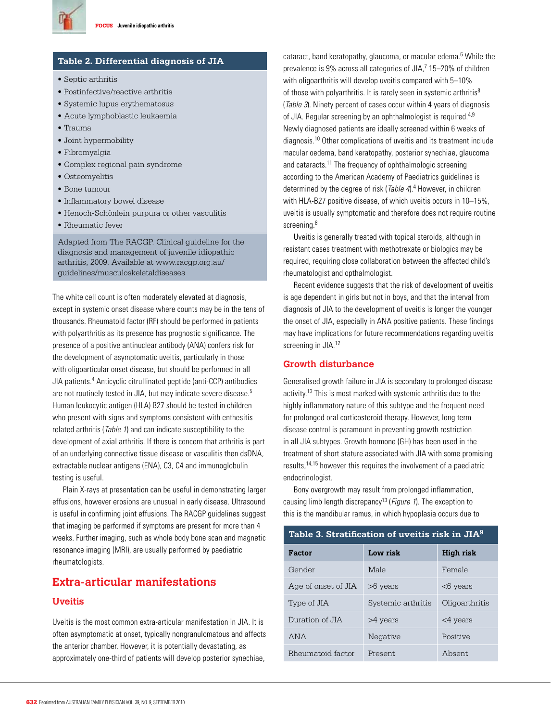

#### **Table 2. Differential diagnosis of JIA**

- Septic arthritis
- Postinfective/reactive arthritis
- Systemic lupus erythematosus
- Acute lymphoblastic leukaemia
- Trauma
- Joint hypermobility
- Fibromyalgia
- Complex regional pain syndrome
- Osteomyelitis
- Bone tumour
- Inflammatory bowel disease
- Henoch-Schönlein purpura or other vasculitis
- Rheumatic fever

Adapted from The RACGP. Clinical guideline for the diagnosis and management of juvenile idiopathic arthritis, 2009. Available at www.racgp.org.au/ guidelines/musculoskeletaldiseases

The white cell count is often moderately elevated at diagnosis, except in systemic onset disease where counts may be in the tens of thousands. Rheumatoid factor (RF) should be performed in patients with polyarthritis as its presence has prognostic significance. The presence of a positive antinuclear antibody (ANA) confers risk for the development of asymptomatic uveitis, particularly in those with oligoarticular onset disease, but should be performed in all JIA patients.4 Anticyclic citrullinated peptide (anti-CCP) antibodies are not routinely tested in JIA, but may indicate severe disease.5 Human leukocytic antigen (HLA) B27 should be tested in children who present with signs and symptoms consistent with enthesitis related arthritis (*Table 1*) and can indicate susceptibility to the development of axial arthritis. If there is concern that arthritis is part of an underlying connective tissue disease or vasculitis then dsDNA, extractable nuclear antigens (ENA), C3, C4 and immunoglobulin testing is useful.

Plain X-rays at presentation can be useful in demonstrating larger effusions, however erosions are unusual in early disease. Ultrasound is useful in confirming joint effusions. The RACGP guidelines suggest that imaging be performed if symptoms are present for more than 4 weeks. Further imaging, such as whole body bone scan and magnetic resonance imaging (MRI), are usually performed by paediatric rheumatologists.

## **Extra-articular manifestations**

#### **Uveitis**

Uveitis is the most common extra-articular manifestation in JIA. It is often asymptomatic at onset, typically nongranulomatous and affects the anterior chamber. However, it is potentially devastating, as approximately one-third of patients will develop posterior synechiae,

cataract, band keratopathy, glaucoma, or macular edema.<sup>6</sup> While the prevalence is 9% across all categories of JIA,7 15-20% of children with oligoarthritis will develop uveitis compared with 5–10% of those with polyarthritis. It is rarely seen in systemic arthritis<sup>8</sup> (Table 3). Ninety percent of cases occur within 4 years of diagnosis of JIA. Regular screening by an ophthalmologist is required.<sup>4,9</sup> Newly diagnosed patients are ideally screened within 6 weeks of diagnosis.10 Other complications of uveitis and its treatment include macular oedema, band keratopathy, posterior synechiae, glaucoma and cataracts.11 The frequency of ophthalmologic screening according to the American Academy of Paediatrics guidelines is determined by the degree of risk (Table 4).<sup>4</sup> However, in children with HLA-B27 positive disease, of which uveitis occurs in 10–15%, uveitis is usually symptomatic and therefore does not require routine screening.<sup>8</sup>

 Uveitis is generally treated with topical steroids, although in resistant cases treatment with methotrexate or biologics may be required, requiring close collaboration between the affected child's rheumatologist and opthalmologist.

Recent evidence suggests that the risk of development of uveitis is age dependent in girls but not in boys, and that the interval from diagnosis of JIA to the development of uveitis is longer the younger the onset of JIA, especially in ANA positive patients. These findings may have implications for future recommendations regarding uveitis screening in JIA.<sup>12</sup>

#### **Growth disturbance**

Generalised growth failure in JIA is secondary to prolonged disease activity.13 This is most marked with systemic arthritis due to the highly inflammatory nature of this subtype and the frequent need for prolonged oral corticosteroid therapy. However, long term disease control is paramount in preventing growth restriction in all JIA subtypes. Growth hormone (GH) has been used in the treatment of short stature associated with JIA with some promising results,14,15 however this requires the involvement of a paediatric endocrinologist.

 Bony overgrowth may result from prolonged inflammation, causing limb length discrepancy<sup>13</sup> (*Figure 1*). The exception to this is the mandibular ramus, in which hypoplasia occurs due to

## **Table 3. Stratification of uveitis risk in JIA9**

| Factor              | Low risk           | High risk      |
|---------------------|--------------------|----------------|
| Gender              | Male               | Female         |
| Age of onset of JIA | $>6$ years         | $<$ 6 years    |
| Type of JIA         | Systemic arthritis | Oligoarthritis |
| Duration of JIA     | $>4$ years         | $<$ 4 years    |
| ANA                 | Negative           | Positive       |
| Rheumatoid factor   | Present.           | Absent.        |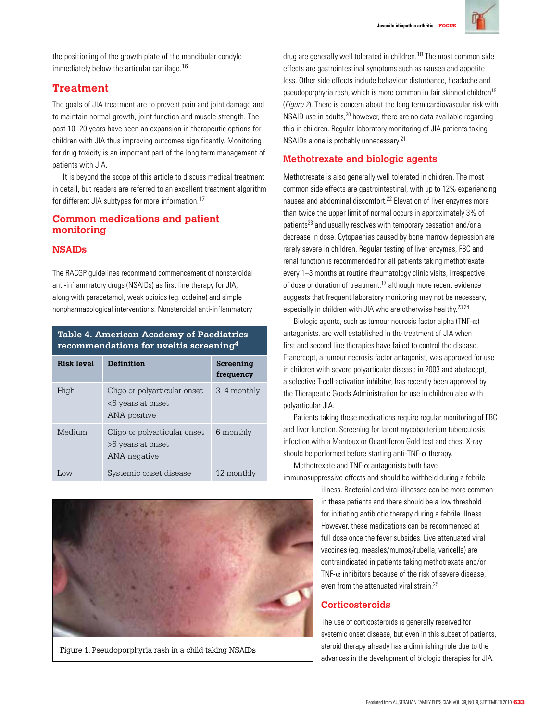

the positioning of the growth plate of the mandibular condyle immediately below the articular cartilage.<sup>16</sup>

# **Treatment**

The goals of JIA treatment are to prevent pain and joint damage and to maintain normal growth, joint function and muscle strength. The past 10–20 years have seen an expansion in therapeutic options for children with JIA thus improving outcomes significantly. Monitoring for drug toxicity is an important part of the long term management of patients with JIA.

 It is beyond the scope of this article to discuss medical treatment in detail, but readers are referred to an excellent treatment algorithm for different JIA subtypes for more information.<sup>17</sup>

## **Common medications and patient monitoring**

## **NSAIDs**

The RACGP guidelines recommend commencement of nonsteroidal anti-inflammatory drugs (NSAIDs) as first line therapy for JIA, along with paracetamol, weak opioids (eg. codeine) and simple nonpharmacological interventions. Nonsteroidal anti-inflammatory

## **Table 4. American Academy of Paediatrics recommendations for uveitis screening4**

| Risk level            | <b>Definition</b>                                                       | Screening<br>frequency |
|-----------------------|-------------------------------------------------------------------------|------------------------|
| High                  | Oligo or polyarticular onset<br><6 years at onset<br>ANA positive       | 3–4 monthly            |
| Medium                | Oligo or polyarticular onset<br>$\geq$ 6 years at onset<br>ANA negative | 6 monthly              |
| $\overline{\text{M}}$ | Systemic onset disease                                                  | 12 monthly             |



Figure 1. Pseudoporphyria rash in a child taking NSAIDs

drug are generally well tolerated in children.<sup>18</sup> The most common side effects are gastrointestinal symptoms such as nausea and appetite loss. Other side effects include behaviour disturbance, headache and pseudoporphyria rash, which is more common in fair skinned children<sup>19</sup> (Figure 2). There is concern about the long term cardiovascular risk with NSAID use in adults,<sup>20</sup> however, there are no data available regarding this in children. Regular laboratory monitoring of JIA patients taking NSAIDs alone is probably unnecessary.21

## **Methotrexate and biologic agents**

Methotrexate is also generally well tolerated in children. The most common side effects are gastrointestinal, with up to 12% experiencing nausea and abdominal discomfort.22 Elevation of liver enzymes more than twice the upper limit of normal occurs in approximately 3% of patients<sup>23</sup> and usually resolves with temporary cessation and/or a decrease in dose. Cytopaenias caused by bone marrow depression are rarely severe in children. Regular testing of liver enzymes, FBC and renal function is recommended for all patients taking methotrexate every 1–3 months at routine rheumatology clinic visits, irrespective of dose or duration of treatment,17 although more recent evidence suggests that frequent laboratory monitoring may not be necessary, especially in children with JIA who are otherwise healthy.<sup>23,24</sup>

Biologic agents, such as tumour necrosis factor alpha (TNF- $\alpha$ ) antagonists, are well established in the treatment of JIA when first and second line therapies have failed to control the disease. Etanercept, a tumour necrosis factor antagonist, was approved for use in children with severe polyarticular disease in 2003 and abatacept, a selective T-cell activation inhibitor, has recently been approved by the Therapeutic Goods Administration for use in children also with polyarticular JIA.

Patients taking these medications require regular monitoring of FBC and liver function. Screening for latent mycobacterium tuberculosis infection with a Mantoux or Quantiferon Gold test and chest X-ray should be performed before starting anti-TNF- $\alpha$  therapy.

Methotrexate and TNF- $\alpha$  antagonists both have immunosuppressive effects and should be withheld during a febrile

> illness. Bacterial and viral illnesses can be more common in these patients and there should be a low threshold for initiating antibiotic therapy during a febrile illness. However, these medications can be recommenced at full dose once the fever subsides. Live attenuated viral vaccines (eg. measles/mumps/rubella, varicella) are contraindicated in patients taking methotrexate and/or TNF- $\alpha$  inhibitors because of the risk of severe disease. even from the attenuated viral strain<sup>25</sup>

## **Corticosteroids**

The use of corticosteroids is generally reserved for systemic onset disease, but even in this subset of patients, steroid therapy already has a diminishing role due to the advances in the development of biologic therapies for JIA.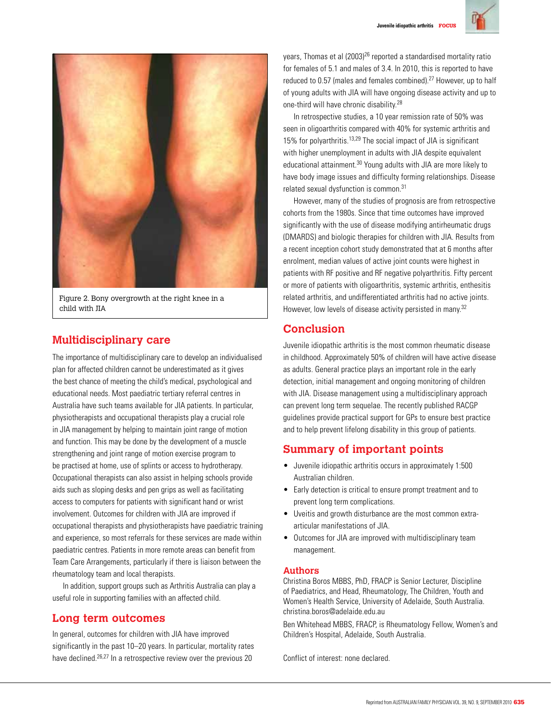



Figure 2. Bony overgrowth at the right knee in a child with JIA

# **Multidisciplinary care**

The importance of multidisciplinary care to develop an individualised plan for affected children cannot be underestimated as it gives the best chance of meeting the child's medical, psychological and educational needs. Most paediatric tertiary referral centres in Australia have such teams available for JIA patients. In particular, physiotherapists and occupational therapists play a crucial role in JIA management by helping to maintain joint range of motion and function. This may be done by the development of a muscle strengthening and joint range of motion exercise program to be practised at home, use of splints or access to hydrotherapy. Occupational therapists can also assist in helping schools provide aids such as sloping desks and pen grips as well as facilitating access to computers for patients with significant hand or wrist involvement. Outcomes for children with JIA are improved if occupational therapists and physiotherapists have paediatric training and experience, so most referrals for these services are made within paediatric centres. Patients in more remote areas can benefit from Team Care Arrangements, particularly if there is liaison between the rheumatology team and local therapists.

 In addition, support groups such as Arthritis Australia can play a useful role in supporting families with an affected child.

## **Long term outcomes**

In general, outcomes for children with JIA have improved significantly in the past 10–20 years. In particular, mortality rates have declined.<sup>26,27</sup> In a retrospective review over the previous 20

years, Thomas et al (2003)26 reported a standardised mortality ratio for females of 5.1 and males of 3.4. In 2010, this is reported to have reduced to 0.57 (males and females combined).27 However, up to half of young adults with JIA will have ongoing disease activity and up to one-third will have chronic disability.28

 In retrospective studies, a 10 year remission rate of 50% was seen in oligoarthritis compared with 40% for systemic arthritis and 15% for polyarthritis.13,29 The social impact of JIA is significant with higher unemployment in adults with JIA despite equivalent educational attainment.30 Young adults with JIA are more likely to have body image issues and difficulty forming relationships. Disease related sexual dysfunction is common.<sup>31</sup>

 However, many of the studies of prognosis are from retrospective cohorts from the 1980s. Since that time outcomes have improved significantly with the use of disease modifying antirheumatic drugs (DMARDS) and biologic therapies for children with JIA. Results from a recent inception cohort study demonstrated that at 6 months after enrolment, median values of active joint counts were highest in patients with RF positive and RF negative polyarthritis. Fifty percent or more of patients with oligoarthritis, systemic arthritis, enthesitis related arthritis, and undifferentiated arthritis had no active joints. However, low levels of disease activity persisted in many.<sup>32</sup>

# **Conclusion**

Juvenile idiopathic arthritis is the most common rheumatic disease in childhood. Approximately 50% of children will have active disease as adults. General practice plays an important role in the early detection, initial management and ongoing monitoring of children with JIA. Disease management using a multidisciplinary approach can prevent long term sequelae. The recently published RACGP guidelines provide practical support for GPs to ensure best practice and to help prevent lifelong disability in this group of patients.

# **Summary of important points**

- • Juvenile idiopathic arthritis occurs in approximately 1:500 Australian children.
- Early detection is critical to ensure prompt treatment and to prevent long term complications.
- Uveitis and growth disturbance are the most common extraarticular manifestations of JIA.
- Outcomes for JIA are improved with multidisciplinary team management.

#### **Authors**

Christina Boros MBBS, PhD, FRACP is Senior Lecturer, Discipline of Paediatrics, and Head, Rheumatology, The Children, Youth and Women's Health Service, University of Adelaide, South Australia. christina.boros@adelaide.edu.au

Ben Whitehead MBBS, FRACP, is Rheumatology Fellow, Women's and Children's Hospital, Adelaide, South Australia.

Conflict of interest: none declared.